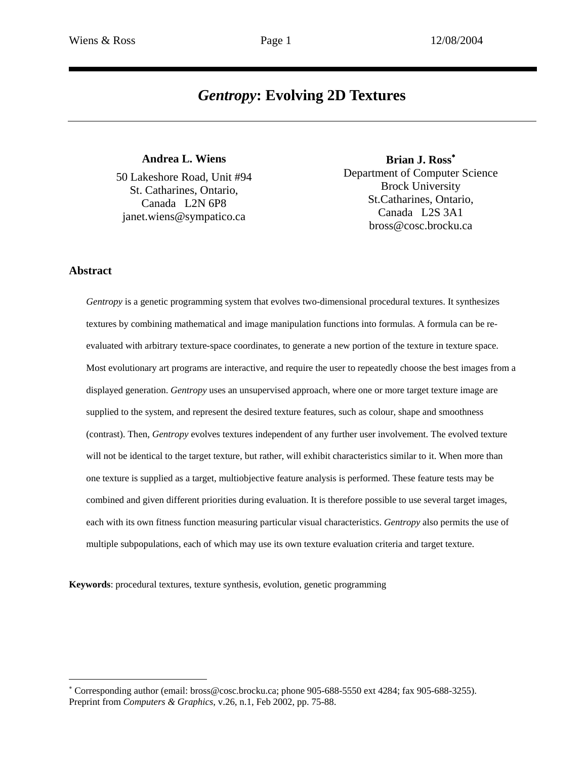# *Gentropy***: Evolving 2D Textures**

**Andrea L. Wiens**  50 Lakeshore Road, Unit #94 St. Catharines, Ontario, Canada L2N 6P8 janet.wiens@sympatico.ca

**Brian J. Ross**[∗](#page-0-0) Department of Computer Science Brock University St.Catharines, Ontario, Canada L2S 3A1 bross@cosc.brocku.ca

# **Abstract**

 $\overline{a}$ 

*Gentropy* is a genetic programming system that evolves two-dimensional procedural textures. It synthesizes textures by combining mathematical and image manipulation functions into formulas. A formula can be reevaluated with arbitrary texture-space coordinates, to generate a new portion of the texture in texture space. Most evolutionary art programs are interactive, and require the user to repeatedly choose the best images from a displayed generation. *Gentropy* uses an unsupervised approach, where one or more target texture image are supplied to the system, and represent the desired texture features, such as colour, shape and smoothness (contrast). Then, *Gentropy* evolves textures independent of any further user involvement. The evolved texture will not be identical to the target texture, but rather, will exhibit characteristics similar to it. When more than one texture is supplied as a target, multiobjective feature analysis is performed. These feature tests may be combined and given different priorities during evaluation. It is therefore possible to use several target images, each with its own fitness function measuring particular visual characteristics. *Gentropy* also permits the use of multiple subpopulations, each of which may use its own texture evaluation criteria and target texture.

**Keywords**: procedural textures, texture synthesis, evolution, genetic programming

<span id="page-0-0"></span><sup>∗</sup> Corresponding author (email: bross@cosc.brocku.ca; phone 905-688-5550 ext 4284; fax 905-688-3255). Preprint from *Computers & Graphics*, v.26, n.1, Feb 2002, pp. 75-88.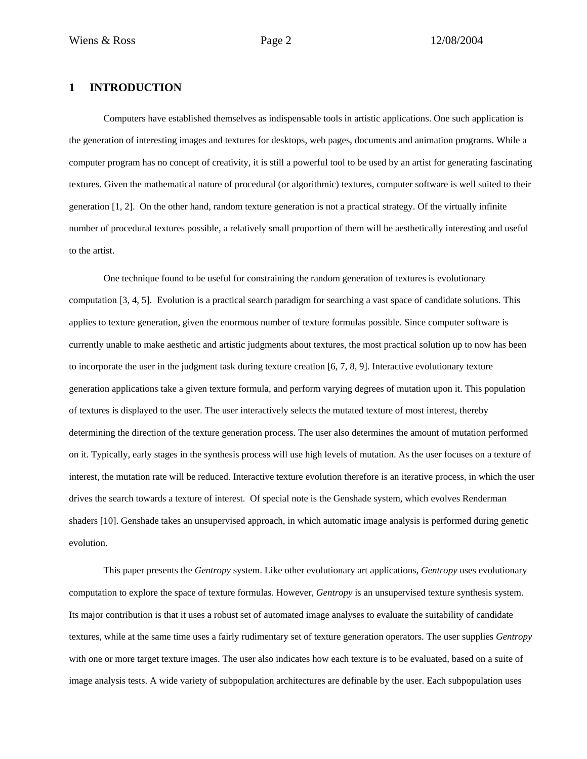# **1 INTRODUCTION**

Computers have established themselves as indispensable tools in artistic applications. One such application is the generation of interesting images and textures for desktops, web pages, documents and animation programs. While a computer program has no concept of creativity, it is still a powerful tool to be used by an artist for generating fascinating textures. Given the mathematical nature of procedural (or algorithmic) textures, computer software is well suited to their generation [1, 2]. On the other hand, random texture generation is not a practical strategy. Of the virtually infinite number of procedural textures possible, a relatively small proportion of them will be aesthetically interesting and useful to the artist.

One technique found to be useful for constraining the random generation of textures is evolutionary computation [3, 4, 5]. Evolution is a practical search paradigm for searching a vast space of candidate solutions. This applies to texture generation, given the enormous number of texture formulas possible. Since computer software is currently unable to make aesthetic and artistic judgments about textures, the most practical solution up to now has been to incorporate the user in the judgment task during texture creation [6, 7, 8, 9]. Interactive evolutionary texture generation applications take a given texture formula, and perform varying degrees of mutation upon it. This population of textures is displayed to the user. The user interactively selects the mutated texture of most interest, thereby determining the direction of the texture generation process. The user also determines the amount of mutation performed on it. Typically, early stages in the synthesis process will use high levels of mutation. As the user focuses on a texture of interest, the mutation rate will be reduced. Interactive texture evolution therefore is an iterative process, in which the user drives the search towards a texture of interest. Of special note is the Genshade system, which evolves Renderman shaders [10]. Genshade takes an unsupervised approach, in which automatic image analysis is performed during genetic evolution.

This paper presents the *Gentropy* system. Like other evolutionary art applications, *Gentropy* uses evolutionary computation to explore the space of texture formulas. However, *Gentropy* is an unsupervised texture synthesis system. Its major contribution is that it uses a robust set of automated image analyses to evaluate the suitability of candidate textures, while at the same time uses a fairly rudimentary set of texture generation operators. The user supplies *Gentropy* with one or more target texture images. The user also indicates how each texture is to be evaluated, based on a suite of image analysis tests. A wide variety of subpopulation architectures are definable by the user. Each subpopulation uses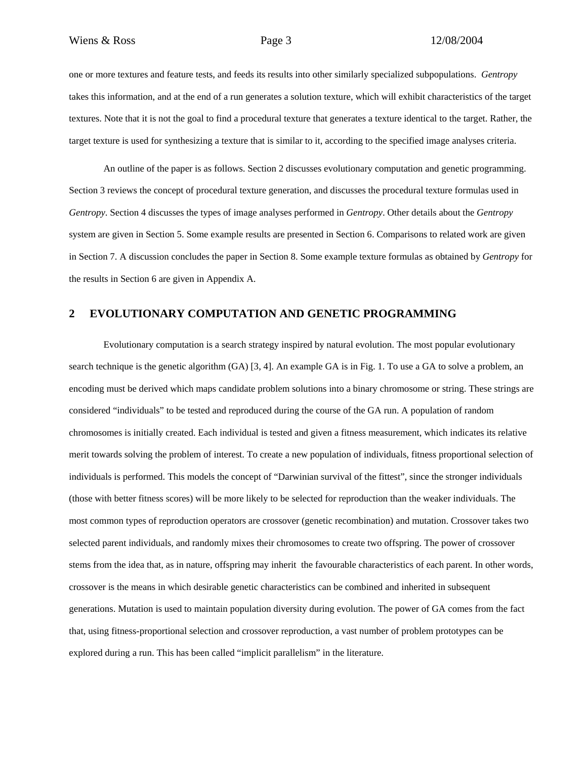one or more textures and feature tests, and feeds its results into other similarly specialized subpopulations. *Gentropy* takes this information, and at the end of a run generates a solution texture, which will exhibit characteristics of the target textures. Note that it is not the goal to find a procedural texture that generates a texture identical to the target. Rather, the target texture is used for synthesizing a texture that is similar to it, according to the specified image analyses criteria.

An outline of the paper is as follows. Section 2 discusses evolutionary computation and genetic programming. Section 3 reviews the concept of procedural texture generation, and discusses the procedural texture formulas used in *Gentropy*. Section 4 discusses the types of image analyses performed in *Gentropy*. Other details about the *Gentropy* system are given in Section 5. Some example results are presented in Section 6. Comparisons to related work are given in Section 7. A discussion concludes the paper in Section 8. Some example texture formulas as obtained by *Gentropy* for the results in Section 6 are given in Appendix A.

## **2 EVOLUTIONARY COMPUTATION AND GENETIC PROGRAMMING**

Evolutionary computation is a search strategy inspired by natural evolution. The most popular evolutionary search technique is the genetic algorithm (GA) [3, 4]. An example GA is in Fig. 1. To use a GA to solve a problem, an encoding must be derived which maps candidate problem solutions into a binary chromosome or string. These strings are considered "individuals" to be tested and reproduced during the course of the GA run. A population of random chromosomes is initially created. Each individual is tested and given a fitness measurement, which indicates its relative merit towards solving the problem of interest. To create a new population of individuals, fitness proportional selection of individuals is performed. This models the concept of "Darwinian survival of the fittest", since the stronger individuals (those with better fitness scores) will be more likely to be selected for reproduction than the weaker individuals. The most common types of reproduction operators are crossover (genetic recombination) and mutation. Crossover takes two selected parent individuals, and randomly mixes their chromosomes to create two offspring. The power of crossover stems from the idea that, as in nature, offspring may inherit the favourable characteristics of each parent. In other words, crossover is the means in which desirable genetic characteristics can be combined and inherited in subsequent generations. Mutation is used to maintain population diversity during evolution. The power of GA comes from the fact that, using fitness-proportional selection and crossover reproduction, a vast number of problem prototypes can be explored during a run. This has been called "implicit parallelism" in the literature.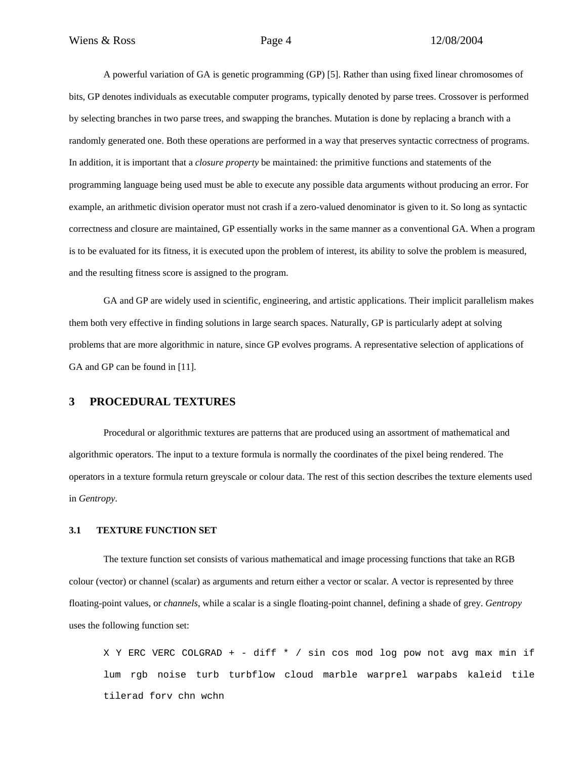A powerful variation of GA is genetic programming (GP) [5]. Rather than using fixed linear chromosomes of bits, GP denotes individuals as executable computer programs, typically denoted by parse trees. Crossover is performed by selecting branches in two parse trees, and swapping the branches. Mutation is done by replacing a branch with a randomly generated one. Both these operations are performed in a way that preserves syntactic correctness of programs. In addition, it is important that a *closure property* be maintained: the primitive functions and statements of the programming language being used must be able to execute any possible data arguments without producing an error. For example, an arithmetic division operator must not crash if a zero-valued denominator is given to it. So long as syntactic correctness and closure are maintained, GP essentially works in the same manner as a conventional GA. When a program is to be evaluated for its fitness, it is executed upon the problem of interest, its ability to solve the problem is measured, and the resulting fitness score is assigned to the program.

GA and GP are widely used in scientific, engineering, and artistic applications. Their implicit parallelism makes them both very effective in finding solutions in large search spaces. Naturally, GP is particularly adept at solving problems that are more algorithmic in nature, since GP evolves programs. A representative selection of applications of GA and GP can be found in [11].

## **3 PROCEDURAL TEXTURES**

Procedural or algorithmic textures are patterns that are produced using an assortment of mathematical and algorithmic operators. The input to a texture formula is normally the coordinates of the pixel being rendered. The operators in a texture formula return greyscale or colour data. The rest of this section describes the texture elements used in *Gentropy*.

### **3.1 TEXTURE FUNCTION SET**

The texture function set consists of various mathematical and image processing functions that take an RGB colour (vector) or channel (scalar) as arguments and return either a vector or scalar. A vector is represented by three floating-point values, or *channels*, while a scalar is a single floating-point channel, defining a shade of grey. *Gentropy* uses the following function set:

X Y ERC VERC COLGRAD + - diff \* / sin cos mod log pow not avg max min if lum rgb noise turb turbflow cloud marble warprel warpabs kaleid tile tilerad forv chn wchn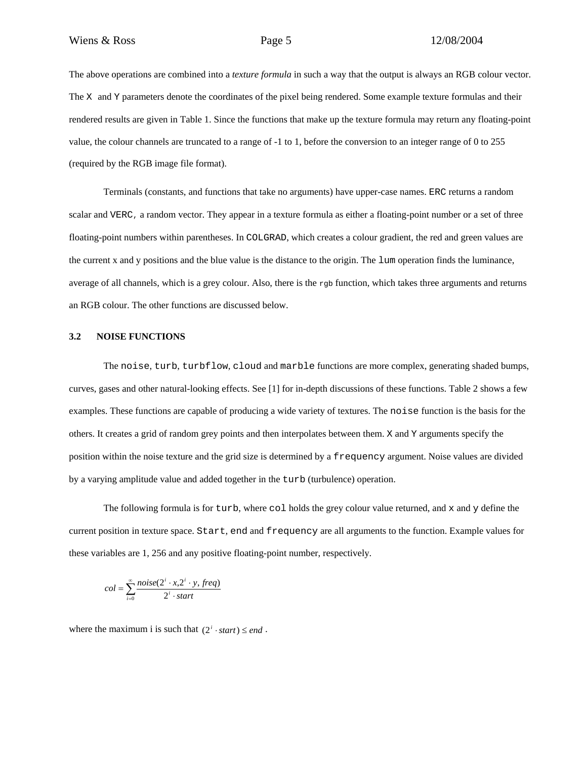The above operations are combined into a *texture formula* in such a way that the output is always an RGB colour vector. The X and Y parameters denote the coordinates of the pixel being rendered. Some example texture formulas and their rendered results are given in Table 1. Since the functions that make up the texture formula may return any floating-point value, the colour channels are truncated to a range of -1 to 1, before the conversion to an integer range of 0 to 255 (required by the RGB image file format).

Terminals (constants, and functions that take no arguments) have upper-case names. ERC returns a random scalar and VERC, a random vector. They appear in a texture formula as either a floating-point number or a set of three floating-point numbers within parentheses. In COLGRAD, which creates a colour gradient, the red and green values are the current x and y positions and the blue value is the distance to the origin. The lum operation finds the luminance, average of all channels, which is a grey colour. Also, there is the rgb function, which takes three arguments and returns an RGB colour. The other functions are discussed below.

### **3.2 NOISE FUNCTIONS**

The noise, turb, turbflow, cloud and marble functions are more complex, generating shaded bumps, curves, gases and other natural-looking effects. See [1] for in-depth discussions of these functions. Table 2 shows a few examples. These functions are capable of producing a wide variety of textures. The noise function is the basis for the others. It creates a grid of random grey points and then interpolates between them. X and Y arguments specify the position within the noise texture and the grid size is determined by a frequency argument. Noise values are divided by a varying amplitude value and added together in the turb (turbulence) operation.

The following formula is for turb, where col holds the grey colour value returned, and x and y define the current position in texture space. Start, end and frequency are all arguments to the function. Example values for these variables are 1, 256 and any positive floating-point number, respectively.

$$
col = \sum_{i=0}^{\infty} \frac{noise(2^i \cdot x, 2^i \cdot y, freq)}{2^i \cdot start}
$$

where the maximum i is such that  $(2^i \cdot start) \leq end$ .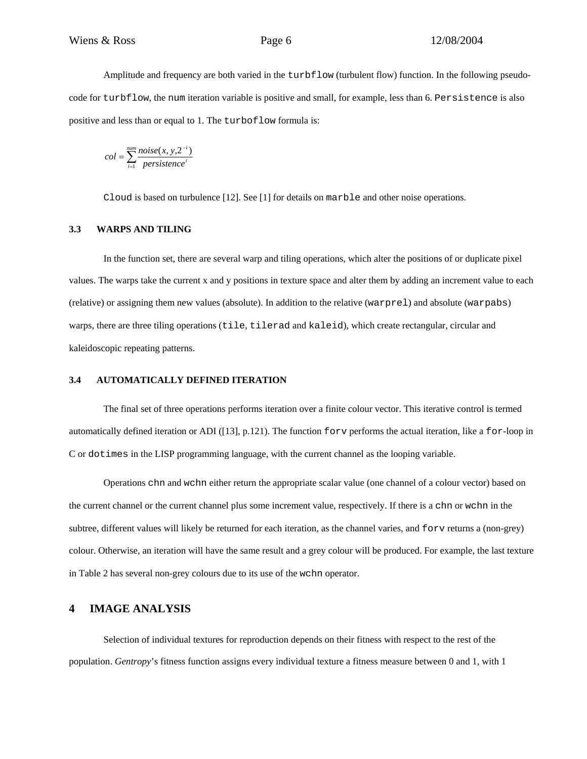Amplitude and frequency are both varied in the turbflow (turbulent flow) function. In the following pseudocode for turbflow, the num iteration variable is positive and small, for example, less than 6. Persistence is also positive and less than or equal to 1. The turboflow formula is:

$$
col = \sum_{i=1}^{num} \frac{noise(x, y, 2^{-i})}{persistentce^i}
$$

Cloud is based on turbulence [12]. See [1] for details on marble and other noise operations.

### **3.3 WARPS AND TILING**

In the function set, there are several warp and tiling operations, which alter the positions of or duplicate pixel values. The warps take the current x and y positions in texture space and alter them by adding an increment value to each (relative) or assigning them new values (absolute). In addition to the relative (warprel) and absolute (warpabs) warps, there are three tiling operations (tile, tilerad and kaleid), which create rectangular, circular and kaleidoscopic repeating patterns.

### **3.4 AUTOMATICALLY DEFINED ITERATION**

The final set of three operations performs iteration over a finite colour vector. This iterative control is termed automatically defined iteration or ADI ([13], p.121). The function forv performs the actual iteration, like a for-loop in C or dotimes in the LISP programming language, with the current channel as the looping variable.

Operations chn and wchn either return the appropriate scalar value (one channel of a colour vector) based on the current channel or the current channel plus some increment value, respectively. If there is a chn or wchn in the subtree, different values will likely be returned for each iteration, as the channel varies, and  $f \circ r$  returns a (non-grey) colour. Otherwise, an iteration will have the same result and a grey colour will be produced. For example, the last texture in Table 2 has several non-grey colours due to its use of the wchn operator.

## **4 IMAGE ANALYSIS**

Selection of individual textures for reproduction depends on their fitness with respect to the rest of the population. *Gentropy*'s fitness function assigns every individual texture a fitness measure between 0 and 1, with 1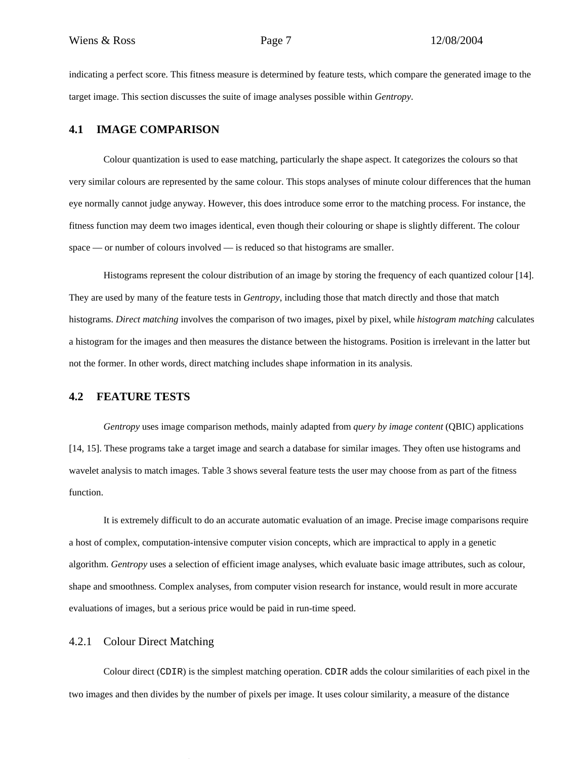indicating a perfect score. This fitness measure is determined by feature tests, which compare the generated image to the target image. This section discusses the suite of image analyses possible within *Gentropy*.

## **4.1 IMAGE COMPARISON**

Colour quantization is used to ease matching, particularly the shape aspect. It categorizes the colours so that very similar colours are represented by the same colour. This stops analyses of minute colour differences that the human eye normally cannot judge anyway. However, this does introduce some error to the matching process. For instance, the fitness function may deem two images identical, even though their colouring or shape is slightly different. The colour space — or number of colours involved — is reduced so that histograms are smaller.

Histograms represent the colour distribution of an image by storing the frequency of each quantized colour [14]. They are used by many of the feature tests in *Gentropy*, including those that match directly and those that match histograms. *Direct matching* involves the comparison of two images, pixel by pixel, while *histogram matching* calculates a histogram for the images and then measures the distance between the histograms. Position is irrelevant in the latter but not the former. In other words, direct matching includes shape information in its analysis.

### **4.2 FEATURE TESTS**

*Gentropy* uses image comparison methods, mainly adapted from *query by image content* (QBIC) applications [14, 15]. These programs take a target image and search a database for similar images. They often use histograms and wavelet analysis to match images. Table 3 shows several feature tests the user may choose from as part of the fitness function.

It is extremely difficult to do an accurate automatic evaluation of an image. Precise image comparisons require a host of complex, computation-intensive computer vision concepts, which are impractical to apply in a genetic algorithm. *Gentropy* uses a selection of efficient image analyses, which evaluate basic image attributes, such as colour, shape and smoothness. Complex analyses, from computer vision research for instance, would result in more accurate evaluations of images, but a serious price would be paid in run-time speed.

### 4.2.1 Colour Direct Matching

Colour direct (CDIR) is the simplest matching operation. CDIR adds the colour similarities of each pixel in the two images and then divides by the number of pixels per image. It uses colour similarity, a measure of the distance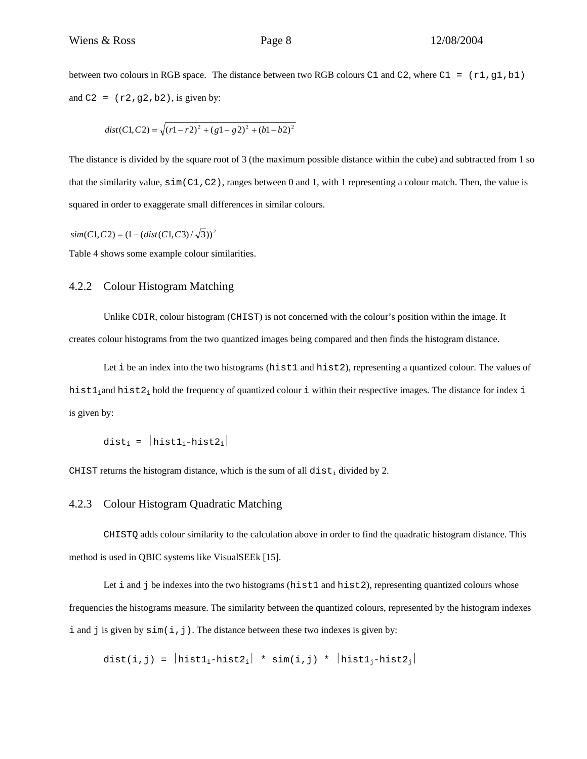between two colours in RGB space. The distance between two RGB colours C1 and C2, where C1 =  $(r1, g1, b1)$ and  $C2 = (r2, g2, b2)$ , is given by:

$$
dist(C1, C2) = \sqrt{(r1 - r2)^2 + (g1 - g2)^2 + (b1 - b2)^2}
$$

The distance is divided by the square root of 3 (the maximum possible distance within the cube) and subtracted from 1 so that the similarity value,  $\sin(C1, C2)$ , ranges between 0 and 1, with 1 representing a colour match. Then, the value is squared in order to exaggerate small differences in similar colours.

 $\sin(C1, C2) = (1 - (dist(C1, C3)/\sqrt{3}))^2$ 

Table 4 shows some example colour similarities.

## 4.2.2 Colour Histogram Matching

Unlike CDIR, colour histogram (CHIST) is not concerned with the colour's position within the image. It creates colour histograms from the two quantized images being compared and then finds the histogram distance.

Let i be an index into the two histograms (hist1 and hist2), representing a quantized colour. The values of hist1<sub>i</sub>and hist2<sub>i</sub> hold the frequency of quantized colour i within their respective images. The distance for index i is given by:

$$
dist_i = |hist1_i - hist2_i|
$$

CHIST returns the histogram distance, which is the sum of all  $dist_i$  divided by 2.

### 4.2.3 Colour Histogram Quadratic Matching

CHISTQ adds colour similarity to the calculation above in order to find the quadratic histogram distance. This method is used in QBIC systems like VisualSEEk [15].

Let i and j be indexes into the two histograms (hist1 and hist2), representing quantized colours whose frequencies the histograms measure. The similarity between the quantized colours, represented by the histogram indexes i and j is given by  $\sin(i,j)$ . The distance between these two indexes is given by:

dist(i,j) =  $\left|$ hist1<sub>i</sub>-hist2<sub>i</sub> $\right|$  \* sim(i,j) \*  $\left|$ hist1<sub>i</sub>-hist2<sub>i</sub> $\right|$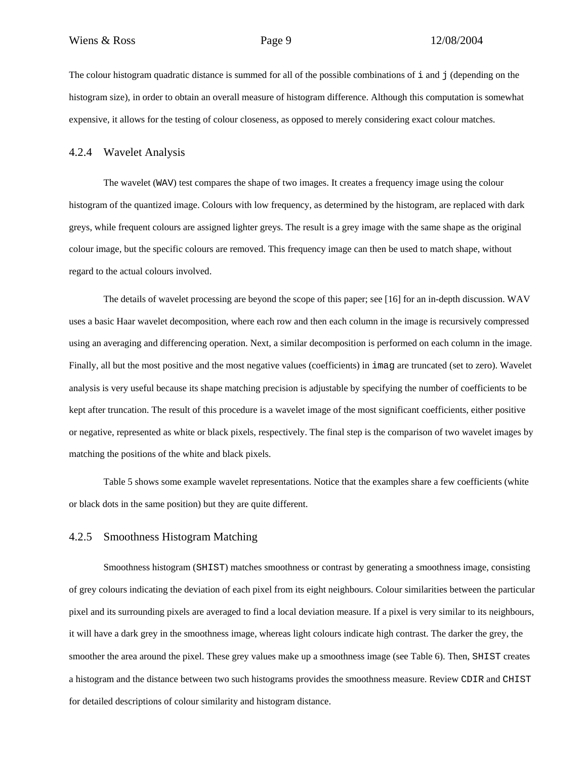The colour histogram quadratic distance is summed for all of the possible combinations of  $\pm$  and  $\pm$  (depending on the histogram size), in order to obtain an overall measure of histogram difference. Although this computation is somewhat expensive, it allows for the testing of colour closeness, as opposed to merely considering exact colour matches.

## 4.2.4 Wavelet Analysis

The wavelet (WAV) test compares the shape of two images. It creates a frequency image using the colour histogram of the quantized image. Colours with low frequency, as determined by the histogram, are replaced with dark greys, while frequent colours are assigned lighter greys. The result is a grey image with the same shape as the original colour image, but the specific colours are removed. This frequency image can then be used to match shape, without regard to the actual colours involved.

The details of wavelet processing are beyond the scope of this paper; see [16] for an in-depth discussion. WAV uses a basic Haar wavelet decomposition, where each row and then each column in the image is recursively compressed using an averaging and differencing operation. Next, a similar decomposition is performed on each column in the image. Finally, all but the most positive and the most negative values (coefficients) in imag are truncated (set to zero). Wavelet analysis is very useful because its shape matching precision is adjustable by specifying the number of coefficients to be kept after truncation. The result of this procedure is a wavelet image of the most significant coefficients, either positive or negative, represented as white or black pixels, respectively. The final step is the comparison of two wavelet images by matching the positions of the white and black pixels.

Table 5 shows some example wavelet representations. Notice that the examples share a few coefficients (white or black dots in the same position) but they are quite different.

## 4.2.5 Smoothness Histogram Matching

Smoothness histogram (SHIST) matches smoothness or contrast by generating a smoothness image, consisting of grey colours indicating the deviation of each pixel from its eight neighbours. Colour similarities between the particular pixel and its surrounding pixels are averaged to find a local deviation measure. If a pixel is very similar to its neighbours, it will have a dark grey in the smoothness image, whereas light colours indicate high contrast. The darker the grey, the smoother the area around the pixel. These grey values make up a smoothness image (see Table 6). Then, SHIST creates a histogram and the distance between two such histograms provides the smoothness measure. Review CDIR and CHIST for detailed descriptions of colour similarity and histogram distance.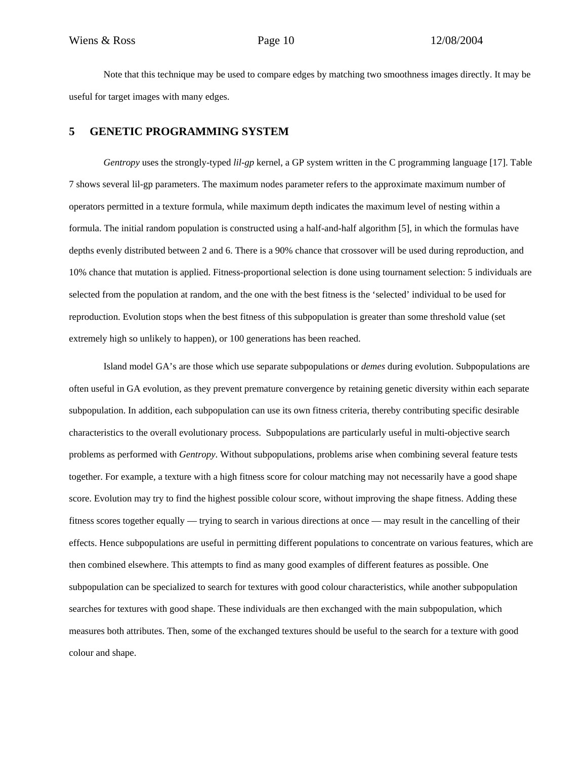Note that this technique may be used to compare edges by matching two smoothness images directly. It may be useful for target images with many edges.

## **5 GENETIC PROGRAMMING SYSTEM**

*Gentropy* uses the strongly-typed *lil-gp* kernel, a GP system written in the C programming language [17]. Table 7 shows several lil-gp parameters. The maximum nodes parameter refers to the approximate maximum number of operators permitted in a texture formula, while maximum depth indicates the maximum level of nesting within a formula. The initial random population is constructed using a half-and-half algorithm [5], in which the formulas have depths evenly distributed between 2 and 6. There is a 90% chance that crossover will be used during reproduction, and 10% chance that mutation is applied. Fitness-proportional selection is done using tournament selection: 5 individuals are selected from the population at random, and the one with the best fitness is the 'selected' individual to be used for reproduction. Evolution stops when the best fitness of this subpopulation is greater than some threshold value (set extremely high so unlikely to happen), or 100 generations has been reached.

Island model GA's are those which use separate subpopulations or *demes* during evolution. Subpopulations are often useful in GA evolution, as they prevent premature convergence by retaining genetic diversity within each separate subpopulation. In addition, each subpopulation can use its own fitness criteria, thereby contributing specific desirable characteristics to the overall evolutionary process. Subpopulations are particularly useful in multi-objective search problems as performed with *Gentropy*. Without subpopulations, problems arise when combining several feature tests together. For example, a texture with a high fitness score for colour matching may not necessarily have a good shape score. Evolution may try to find the highest possible colour score, without improving the shape fitness. Adding these fitness scores together equally — trying to search in various directions at once — may result in the cancelling of their effects. Hence subpopulations are useful in permitting different populations to concentrate on various features, which are then combined elsewhere. This attempts to find as many good examples of different features as possible. One subpopulation can be specialized to search for textures with good colour characteristics, while another subpopulation searches for textures with good shape. These individuals are then exchanged with the main subpopulation, which measures both attributes. Then, some of the exchanged textures should be useful to the search for a texture with good colour and shape.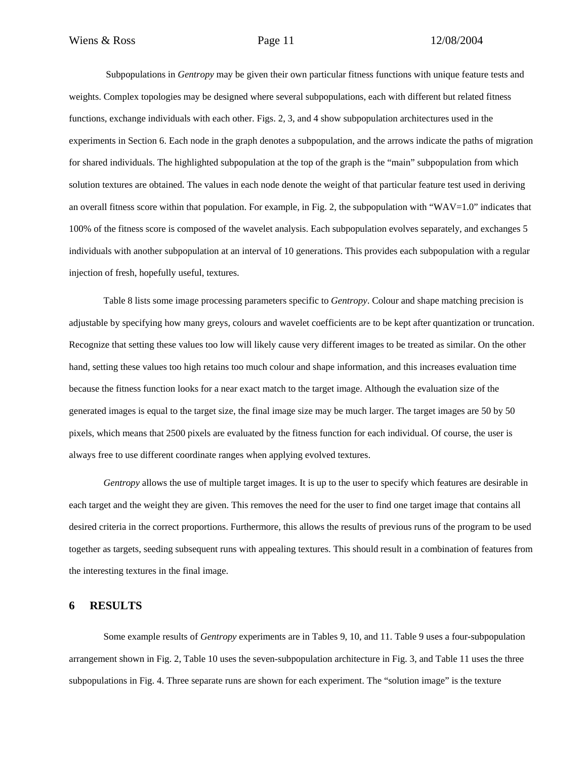Subpopulations in *Gentropy* may be given their own particular fitness functions with unique feature tests and weights. Complex topologies may be designed where several subpopulations, each with different but related fitness functions, exchange individuals with each other. Figs. 2, 3, and 4 show subpopulation architectures used in the experiments in Section 6. Each node in the graph denotes a subpopulation, and the arrows indicate the paths of migration for shared individuals. The highlighted subpopulation at the top of the graph is the "main" subpopulation from which solution textures are obtained. The values in each node denote the weight of that particular feature test used in deriving an overall fitness score within that population. For example, in Fig. 2, the subpopulation with "WAV=1.0" indicates that 100% of the fitness score is composed of the wavelet analysis. Each subpopulation evolves separately, and exchanges 5 individuals with another subpopulation at an interval of 10 generations. This provides each subpopulation with a regular injection of fresh, hopefully useful, textures.

Table 8 lists some image processing parameters specific to *Gentropy*. Colour and shape matching precision is adjustable by specifying how many greys, colours and wavelet coefficients are to be kept after quantization or truncation. Recognize that setting these values too low will likely cause very different images to be treated as similar. On the other hand, setting these values too high retains too much colour and shape information, and this increases evaluation time because the fitness function looks for a near exact match to the target image. Although the evaluation size of the generated images is equal to the target size, the final image size may be much larger. The target images are 50 by 50 pixels, which means that 2500 pixels are evaluated by the fitness function for each individual. Of course, the user is always free to use different coordinate ranges when applying evolved textures.

*Gentropy* allows the use of multiple target images. It is up to the user to specify which features are desirable in each target and the weight they are given. This removes the need for the user to find one target image that contains all desired criteria in the correct proportions. Furthermore, this allows the results of previous runs of the program to be used together as targets, seeding subsequent runs with appealing textures. This should result in a combination of features from the interesting textures in the final image.

## **6 RESULTS**

Some example results of *Gentropy* experiments are in Tables 9, 10, and 11. Table 9 uses a four-subpopulation arrangement shown in Fig. 2, Table 10 uses the seven-subpopulation architecture in Fig. 3, and Table 11 uses the three subpopulations in Fig. 4. Three separate runs are shown for each experiment. The "solution image" is the texture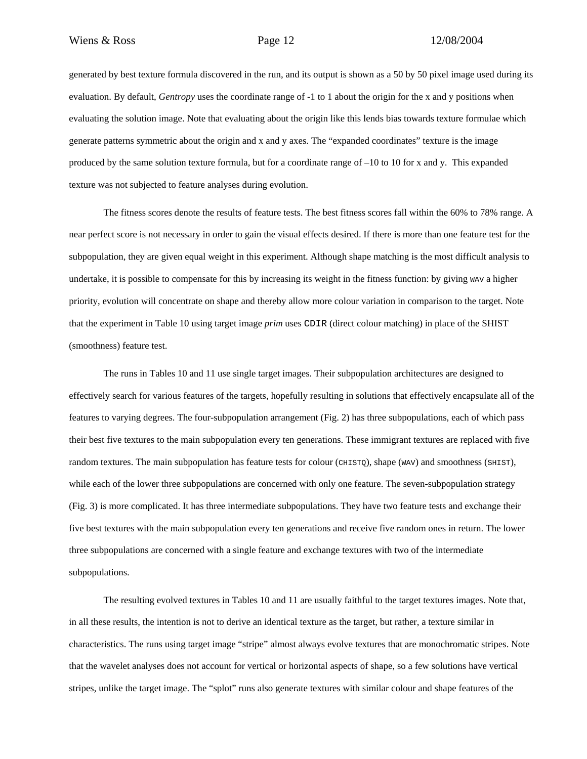generated by best texture formula discovered in the run, and its output is shown as a 50 by 50 pixel image used during its evaluation. By default, *Gentropy* uses the coordinate range of -1 to 1 about the origin for the x and y positions when evaluating the solution image. Note that evaluating about the origin like this lends bias towards texture formulae which generate patterns symmetric about the origin and x and y axes. The "expanded coordinates" texture is the image produced by the same solution texture formula, but for a coordinate range of –10 to 10 for x and y. This expanded texture was not subjected to feature analyses during evolution.

The fitness scores denote the results of feature tests. The best fitness scores fall within the 60% to 78% range. A near perfect score is not necessary in order to gain the visual effects desired. If there is more than one feature test for the subpopulation, they are given equal weight in this experiment. Although shape matching is the most difficult analysis to undertake, it is possible to compensate for this by increasing its weight in the fitness function: by giving wAV a higher priority, evolution will concentrate on shape and thereby allow more colour variation in comparison to the target. Note that the experiment in Table 10 using target image *prim* uses CDIR (direct colour matching) in place of the SHIST (smoothness) feature test.

The runs in Tables 10 and 11 use single target images. Their subpopulation architectures are designed to effectively search for various features of the targets, hopefully resulting in solutions that effectively encapsulate all of the features to varying degrees. The four-subpopulation arrangement (Fig. 2) has three subpopulations, each of which pass their best five textures to the main subpopulation every ten generations. These immigrant textures are replaced with five random textures. The main subpopulation has feature tests for colour (CHISTQ), shape (WAV) and smoothness (SHIST), while each of the lower three subpopulations are concerned with only one feature. The seven-subpopulation strategy (Fig. 3) is more complicated. It has three intermediate subpopulations. They have two feature tests and exchange their five best textures with the main subpopulation every ten generations and receive five random ones in return. The lower three subpopulations are concerned with a single feature and exchange textures with two of the intermediate subpopulations.

The resulting evolved textures in Tables 10 and 11 are usually faithful to the target textures images. Note that, in all these results, the intention is not to derive an identical texture as the target, but rather, a texture similar in characteristics. The runs using target image "stripe" almost always evolve textures that are monochromatic stripes. Note that the wavelet analyses does not account for vertical or horizontal aspects of shape, so a few solutions have vertical stripes, unlike the target image. The "splot" runs also generate textures with similar colour and shape features of the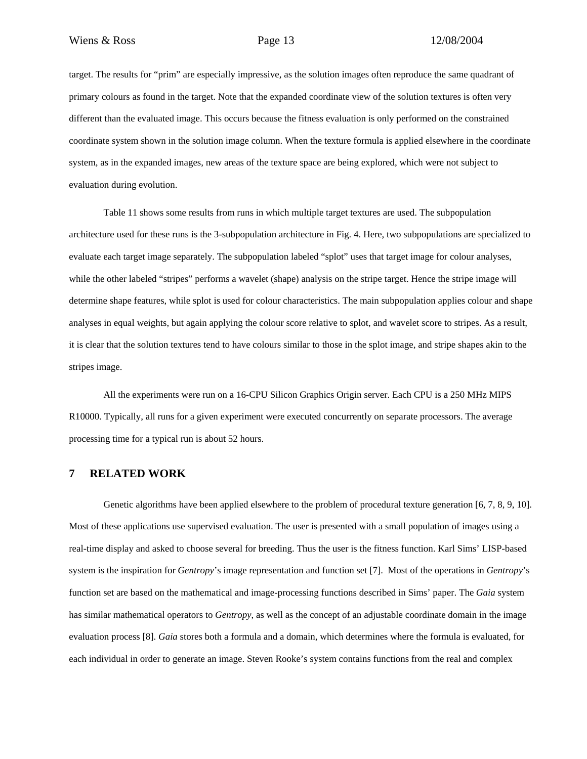target. The results for "prim" are especially impressive, as the solution images often reproduce the same quadrant of primary colours as found in the target. Note that the expanded coordinate view of the solution textures is often very different than the evaluated image. This occurs because the fitness evaluation is only performed on the constrained coordinate system shown in the solution image column. When the texture formula is applied elsewhere in the coordinate system, as in the expanded images, new areas of the texture space are being explored, which were not subject to evaluation during evolution.

Table 11 shows some results from runs in which multiple target textures are used. The subpopulation architecture used for these runs is the 3-subpopulation architecture in Fig. 4. Here, two subpopulations are specialized to evaluate each target image separately. The subpopulation labeled "splot" uses that target image for colour analyses, while the other labeled "stripes" performs a wavelet (shape) analysis on the stripe target. Hence the stripe image will determine shape features, while splot is used for colour characteristics. The main subpopulation applies colour and shape analyses in equal weights, but again applying the colour score relative to splot, and wavelet score to stripes. As a result, it is clear that the solution textures tend to have colours similar to those in the splot image, and stripe shapes akin to the stripes image.

All the experiments were run on a 16-CPU Silicon Graphics Origin server. Each CPU is a 250 MHz MIPS R10000. Typically, all runs for a given experiment were executed concurrently on separate processors. The average processing time for a typical run is about 52 hours.

## **7 RELATED WORK**

Genetic algorithms have been applied elsewhere to the problem of procedural texture generation [6, 7, 8, 9, 10]. Most of these applications use supervised evaluation. The user is presented with a small population of images using a real-time display and asked to choose several for breeding. Thus the user is the fitness function. Karl Sims' LISP-based system is the inspiration for *Gentropy*'s image representation and function set [7]. Most of the operations in *Gentropy*'s function set are based on the mathematical and image-processing functions described in Sims' paper. The *Gaia* system has similar mathematical operators to *Gentropy*, as well as the concept of an adjustable coordinate domain in the image evaluation process [8]. *Gaia* stores both a formula and a domain, which determines where the formula is evaluated, for each individual in order to generate an image. Steven Rooke's system contains functions from the real and complex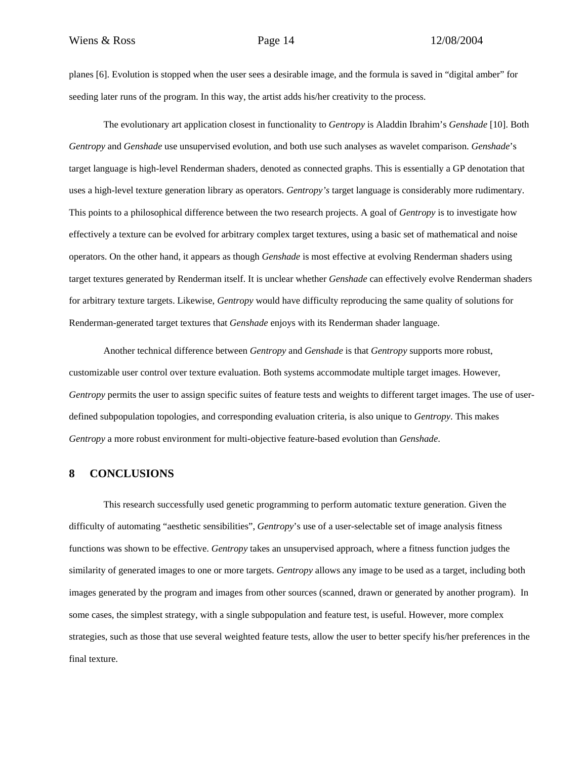planes [6]. Evolution is stopped when the user sees a desirable image, and the formula is saved in "digital amber" for seeding later runs of the program. In this way, the artist adds his/her creativity to the process.

The evolutionary art application closest in functionality to *Gentropy* is Aladdin Ibrahim's *Genshade* [10]. Both *Gentropy* and *Genshade* use unsupervised evolution, and both use such analyses as wavelet comparison. *Genshade*'s target language is high-level Renderman shaders, denoted as connected graphs. This is essentially a GP denotation that uses a high-level texture generation library as operators. *Gentropy's* target language is considerably more rudimentary. This points to a philosophical difference between the two research projects. A goal of *Gentropy* is to investigate how effectively a texture can be evolved for arbitrary complex target textures, using a basic set of mathematical and noise operators. On the other hand, it appears as though *Genshade* is most effective at evolving Renderman shaders using target textures generated by Renderman itself. It is unclear whether *Genshade* can effectively evolve Renderman shaders for arbitrary texture targets. Likewise, *Gentropy* would have difficulty reproducing the same quality of solutions for Renderman-generated target textures that *Genshade* enjoys with its Renderman shader language.

Another technical difference between *Gentropy* and *Genshade* is that *Gentropy* supports more robust, customizable user control over texture evaluation. Both systems accommodate multiple target images. However, *Gentropy* permits the user to assign specific suites of feature tests and weights to different target images. The use of userdefined subpopulation topologies, and corresponding evaluation criteria, is also unique to *Gentropy*. This makes *Gentropy* a more robust environment for multi-objective feature-based evolution than *Genshade*.

## **8 CONCLUSIONS**

This research successfully used genetic programming to perform automatic texture generation. Given the difficulty of automating "aesthetic sensibilities", *Gentropy*'s use of a user-selectable set of image analysis fitness functions was shown to be effective. *Gentropy* takes an unsupervised approach, where a fitness function judges the similarity of generated images to one or more targets. *Gentropy* allows any image to be used as a target, including both images generated by the program and images from other sources (scanned, drawn or generated by another program). In some cases, the simplest strategy, with a single subpopulation and feature test, is useful. However, more complex strategies, such as those that use several weighted feature tests, allow the user to better specify his/her preferences in the final texture.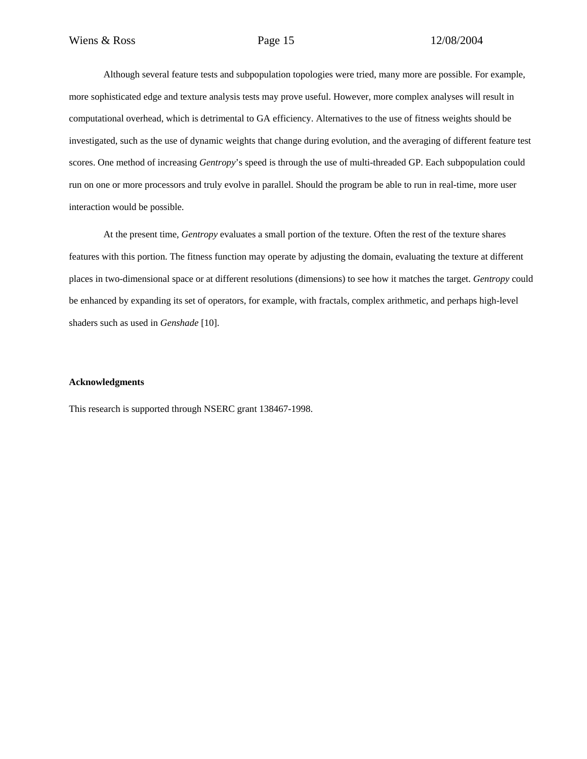Although several feature tests and subpopulation topologies were tried, many more are possible. For example, more sophisticated edge and texture analysis tests may prove useful. However, more complex analyses will result in computational overhead, which is detrimental to GA efficiency. Alternatives to the use of fitness weights should be investigated, such as the use of dynamic weights that change during evolution, and the averaging of different feature test scores. One method of increasing *Gentropy*'s speed is through the use of multi-threaded GP. Each subpopulation could run on one or more processors and truly evolve in parallel. Should the program be able to run in real-time, more user interaction would be possible.

At the present time, *Gentropy* evaluates a small portion of the texture. Often the rest of the texture shares features with this portion. The fitness function may operate by adjusting the domain, evaluating the texture at different places in two-dimensional space or at different resolutions (dimensions) to see how it matches the target. *Gentropy* could be enhanced by expanding its set of operators, for example, with fractals, complex arithmetic, and perhaps high-level shaders such as used in *Genshade* [10].

### **Acknowledgments**

This research is supported through NSERC grant 138467-1998.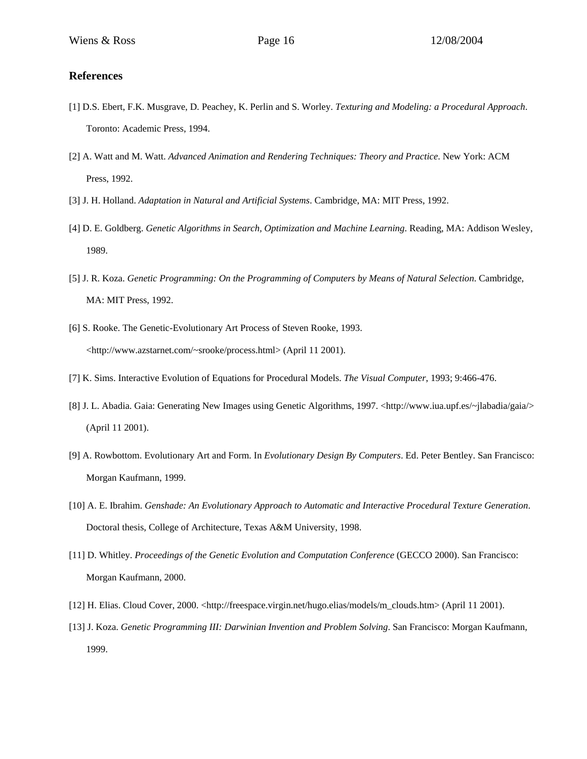# **References**

- [1] D.S. Ebert, F.K. Musgrave, D. Peachey, K. Perlin and S. Worley. *Texturing and Modeling: a Procedural Approach*. Toronto: Academic Press, 1994.
- [2] A. Watt and M. Watt. *Advanced Animation and Rendering Techniques: Theory and Practice*. New York: ACM Press, 1992.
- [3] J. H. Holland. *Adaptation in Natural and Artificial Systems*. Cambridge, MA: MIT Press, 1992.
- [4] D. E. Goldberg. *Genetic Algorithms in Search, Optimization and Machine Learning*. Reading, MA: Addison Wesley, 1989.
- [5] J. R. Koza. *Genetic Programming: On the Programming of Computers by Means of Natural Selection*. Cambridge, MA: MIT Press, 1992.
- [6] S. Rooke. The Genetic-Evolutionary Art Process of Steven Rooke, 1993. <http://www.azstarnet.com/~srooke/process.html> (April 11 2001).
- [7] K. Sims. Interactive Evolution of Equations for Procedural Models. *The Visual Computer*, 1993; 9:466-476.
- [8] J. L. Abadia. Gaia: Generating New Images using Genetic Algorithms, 1997. <http://www.iua.upf.es/~jlabadia/gaia/> (April 11 2001).
- [9] A. Rowbottom. Evolutionary Art and Form. In *Evolutionary Design By Computers*. Ed. Peter Bentley. San Francisco: Morgan Kaufmann, 1999.
- [10] A. E. Ibrahim. *Genshade: An Evolutionary Approach to Automatic and Interactive Procedural Texture Generation*. Doctoral thesis, College of Architecture, Texas A&M University, 1998.
- [11] D. Whitley. *Proceedings of the Genetic Evolution and Computation Conference* (GECCO 2000). San Francisco: Morgan Kaufmann, 2000.
- [12] H. Elias. Cloud Cover, 2000. <http://freespace.virgin.net/hugo.elias/models/m\_clouds.htm> (April 11 2001).
- [13] J. Koza. *Genetic Programming III: Darwinian Invention and Problem Solving*. San Francisco: Morgan Kaufmann, 1999.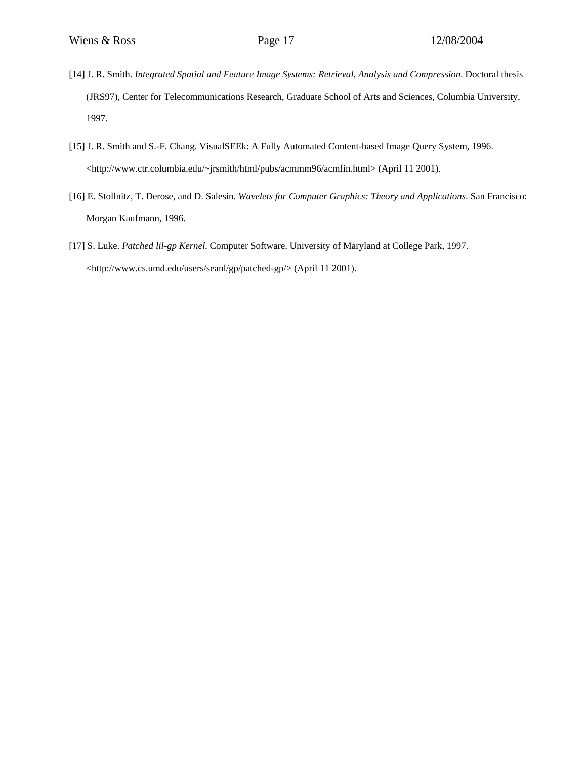- [14] J. R. Smith. *Integrated Spatial and Feature Image Systems: Retrieval, Analysis and Compression*. Doctoral thesis (JRS97), Center for Telecommunications Research, Graduate School of Arts and Sciences, Columbia University, 1997.
- [15] J. R. Smith and S.-F. Chang. VisualSEEk: A Fully Automated Content-based Image Query System, 1996. <http://www.ctr.columbia.edu/~jrsmith/html/pubs/acmmm96/acmfin.html> (April 11 2001).
- [16] E. Stollnitz, T. Derose, and D. Salesin. *Wavelets for Computer Graphics: Theory and Applications*. San Francisco: Morgan Kaufmann, 1996.
- [17] S. Luke. *Patched lil-gp Kernel*. Computer Software. University of Maryland at College Park, 1997. <http://www.cs.umd.edu/users/seanl/gp/patched-gp/> (April 11 2001).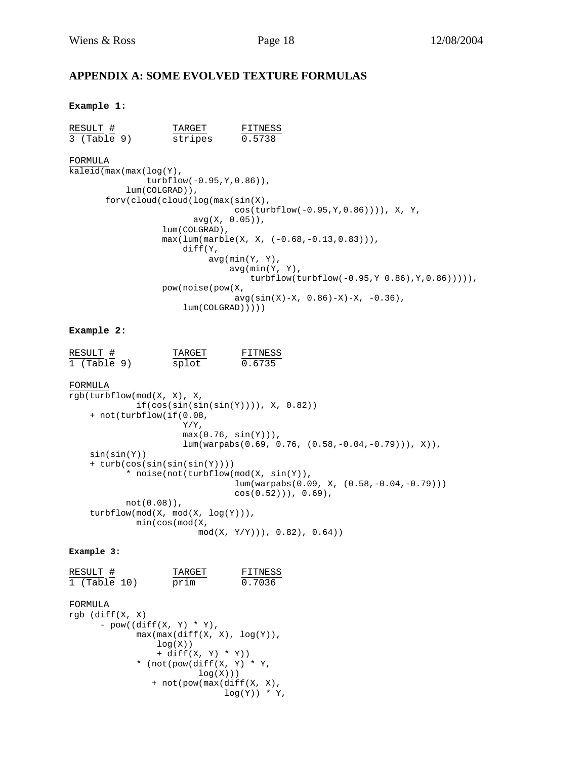# **APPENDIX A: SOME EVOLVED TEXTURE FORMULAS**

### **Example 1:**

 $\frac{RESULT}{3}$   $\frac{#}{3}$   $\frac{TABLE30}$   $\frac{P1 \times SSE}{S1}$   $\frac{F1 \times SS}{0.5738}$ 3 (Table 9) **I** stripes

### FORMULA

```
kaleid(max(max(log(Y), 
                turbflow(-0.95,Y,0.86)), 
            lum(COLGRAD)), 
        forv(cloud(cloud(log(max(sin(X), 
                                   cos(turbflow(-0.95,Y,0.86)))), X, Y, 
                          avg(X, 0.05)), 
                    lum(COLGRAD), 
                    max(lum(marble(X, X, (-0.68,-0.13,0.83))), 
                        diff(Y, 
                             avg(min(Y, Y), avg(min(Y, Y), 
                                       turbflow(turbflow(-0.95,Y 0.86),Y,0.86))))), 
                    pow(noise(pow(X, 
                                  avg(sin(X)-X, 0.86)-X)-X, -0.36),
                         lum(COLGRAD)))))
```
### **Example 2:**

| RESULT #      | TARGET | FITNESS |
|---------------|--------|---------|
| $1$ (Table 9) | splot  | 0.6735  |

### FORMULA

```
rgb(turbflow(mod(X, X), X, 
              if(cos(sin(sin(sin(Y)))), X, 0.82)) 
     + not(turbflow(if(0.08, 
                        Y/Y, 
                       max(0.76, sin(Y)),
                        lum(warpabs(0.69, 0.76, (0.58,-0.04,-0.79))), X)), 
     sin(sin(Y)) 
     + turb(cos(sin(sin(sin(Y)))) 
            * noise(not(turbflow(mod(X, sin(Y)), 
                                   lum(warpabs(0.09, X, (0.58,-0.04,-0.79))) 
                                   cos(0.52))), 0.69), 
            not(0.08)), 
     turbflow(mod(X, mod(X, log(Y))), 
              min(cos(mod(X, 
                          mod(X, Y/Y)), 0.82), 0.64))
```
### **Example 3:**

| RESULT #<br>$1$ (Table $10$ ) | TARGET<br>prim               | FITNESS<br>0.7036 |
|-------------------------------|------------------------------|-------------------|
|                               |                              |                   |
| FORMULA                       |                              |                   |
| rqb (diff(X, X)               |                              |                   |
|                               | - $pow((diff(X, Y) * Y),$    |                   |
|                               | max(max(diff(X, X), log(Y)), |                   |
|                               | $log(X)$ )                   |                   |
|                               | $+ \text{diff}(X, Y) * Y)$   |                   |
|                               | * $(not(pow(diff(X, Y) * Y,$ |                   |
|                               | log(X))                      |                   |
|                               | $+$ not(pow(max(diff(X, X),  |                   |
|                               |                              | $log(Y)$ * Y,     |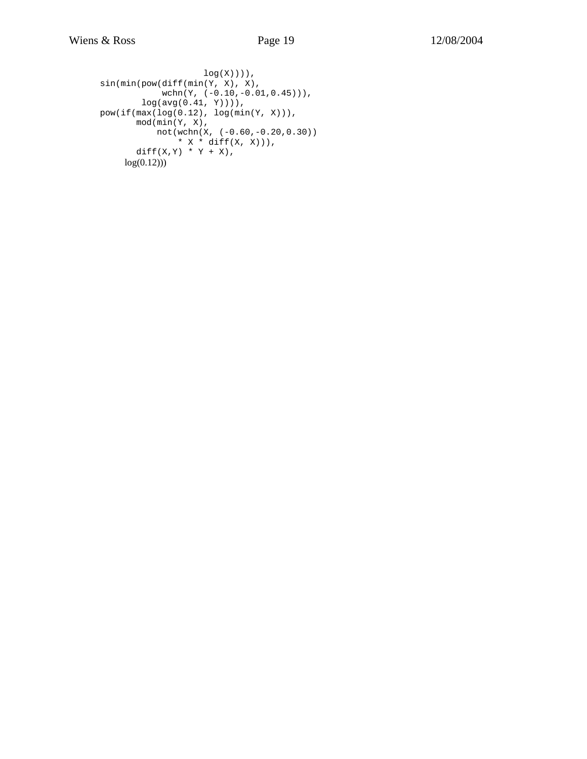```
log(X))),
 sin(min(pow(diff(min(Y, X), X), 
wchn(Y, (-0.10, -0.01, 0.45))),
           log(avg(0.41, Y)))), 
     pow(if(max(log(0.12), log(min(Y, X))), 
 mod(min(Y, X), 
 not(wchn(X, (-0.60,-0.20,0.30)) 
* X * diff(X, X))),
diff(X,Y) * Y + X), log(0.12)))
```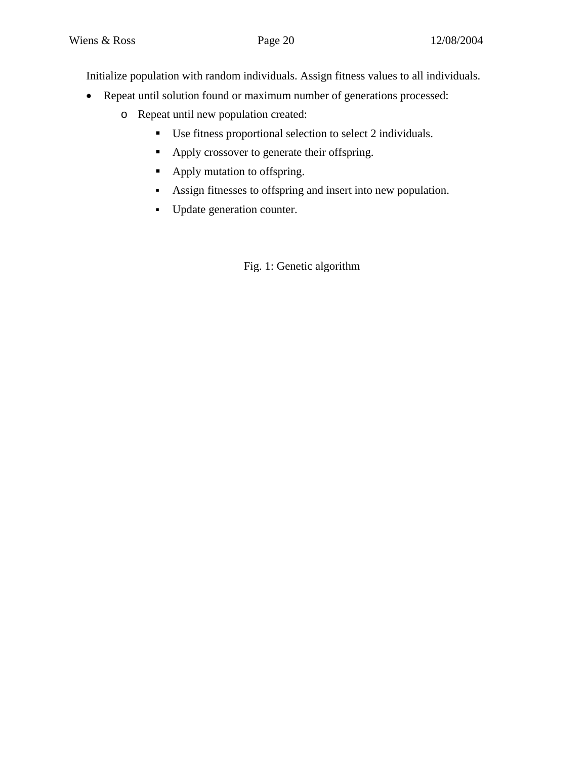Initialize population with random individuals. Assign fitness values to all individuals.

- Repeat until solution found or maximum number of generations processed:
	- o Repeat until new population created:
		- Use fitness proportional selection to select 2 individuals.
		- Apply crossover to generate their offspring.
		- Apply mutation to offspring.
		- Assign fitnesses to offspring and insert into new population.
		- Update generation counter.

Fig. 1: Genetic algorithm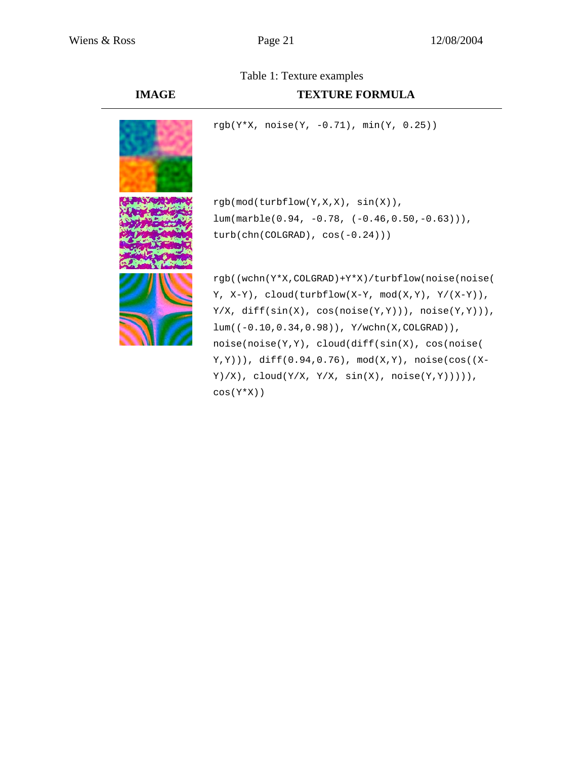# Table 1: Texture examples

# **IMAGE TEXTURE FORMULA**

rgb(Y\*X, noise(Y, -0.71), min(Y, 0.25))

rgb(mod(turbflow(Y,X,X), sin(X)),



lum(marble(0.94, -0.78, (-0.46,0.50,-0.63))), turb(chn(COLGRAD), cos(-0.24)))

rgb((wchn(Y\*X,COLGRAD)+Y\*X)/turbflow(noise(noise( Y, X-Y), cloud(turbflow(X-Y, mod(X,Y), Y/(X-Y)),  $Y/X$ , diff(sin(X),  $cos(noise(Y,Y))$ ), noise(Y,Y))), lum((-0.10,0.34,0.98)), Y/wchn(X,COLGRAD)), noise(noise(Y,Y), cloud(diff(sin(X), cos(noise( Y,Y))), diff(0.94,0.76), mod(X,Y), noise(cos((X- $Y)/X$ ), cloud(Y/X, Y/X, sin(X), noise(Y,Y))))), cos(Y\*X))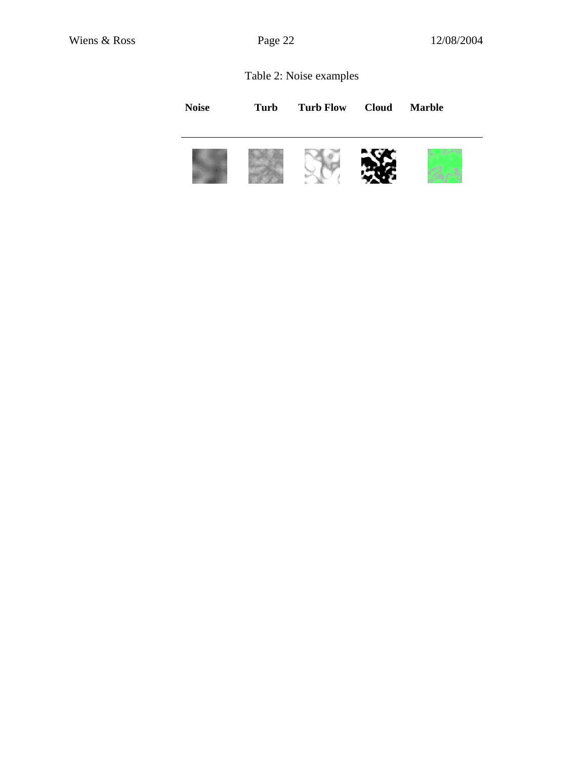# Table 2: Noise examples

| <b>Noise</b> | Turb | <b>Turb Flow Cloud</b> | <b>Marble</b> |  |
|--------------|------|------------------------|---------------|--|
|              |      |                        |               |  |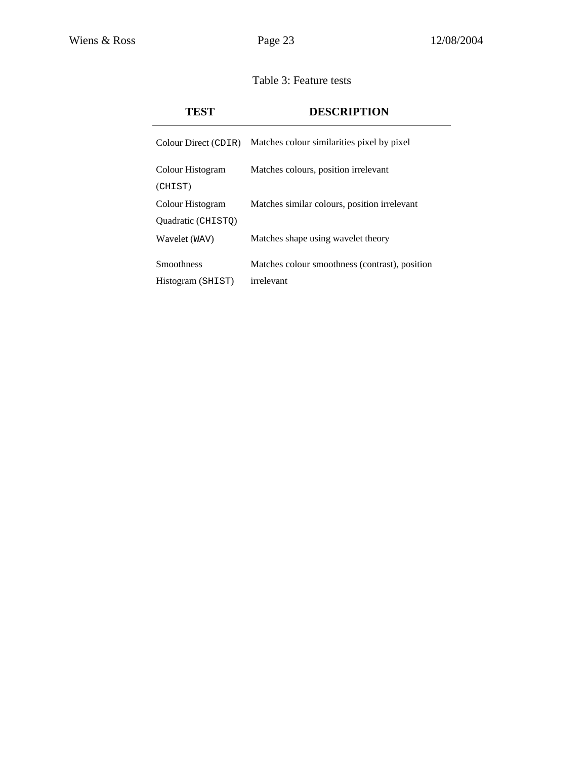Table 3: Feature tests

| TEST                 | <b>DESCRIPTION</b>                             |
|----------------------|------------------------------------------------|
| Colour Direct (CDIR) | Matches colour similarities pixel by pixel     |
| Colour Histogram     | Matches colours, position irrelevant           |
| (CHIST)              |                                                |
| Colour Histogram     | Matches similar colours, position irrelevant   |
| Quadratic (CHISTO)   |                                                |
| Wavelet (WAV)        | Matches shape using wavelet theory             |
|                      |                                                |
| <b>Smoothness</b>    | Matches colour smoothness (contrast), position |
| Histogram (SHIST)    | irrelevant                                     |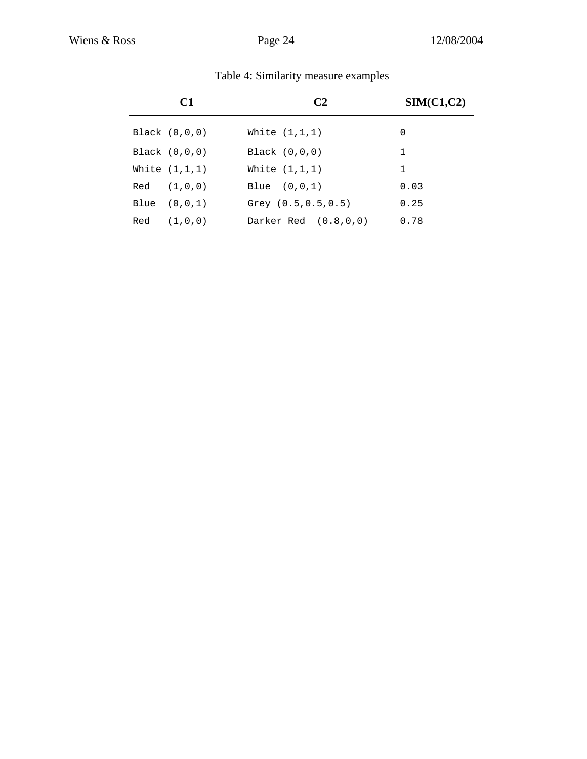| C <sub>1</sub>  | C2                      | SIM(C1, C2) |
|-----------------|-------------------------|-------------|
| Black (0, 0, 0) | White $(1,1,1)$         | $\Omega$    |
| Black (0, 0, 0) | Black (0, 0, 0)         | 1           |
| White $(1,1,1)$ | White $(1,1,1)$         | 1           |
| Red (1,0,0)     | Blue $(0,0,1)$          | 0.03        |
| Blue $(0,0,1)$  | Grey $(0.5, 0.5, 0.5)$  | 0.25        |
| Red (1,0,0)     | Darker Red $(0.8, 0.0)$ | 0.78        |

# Table 4: Similarity measure examples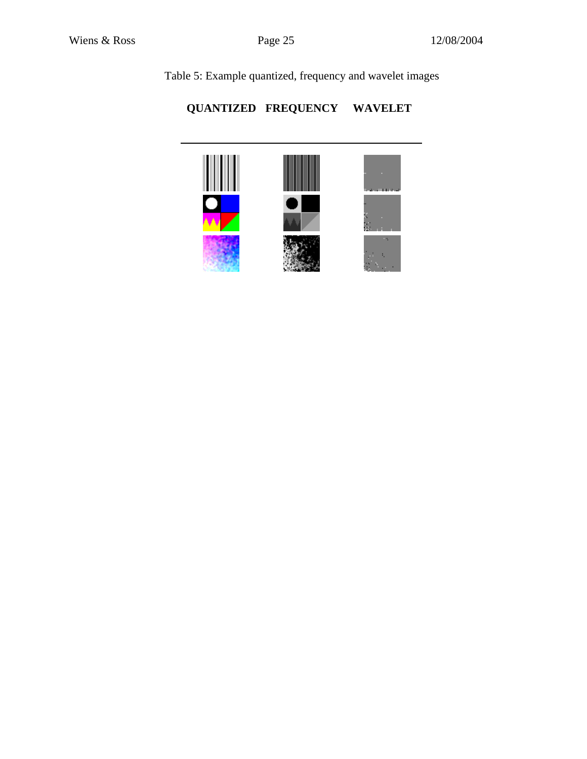Table 5: Example quantized, frequency and wavelet images

# **QUANTIZED FREQUENCY WAVELET**

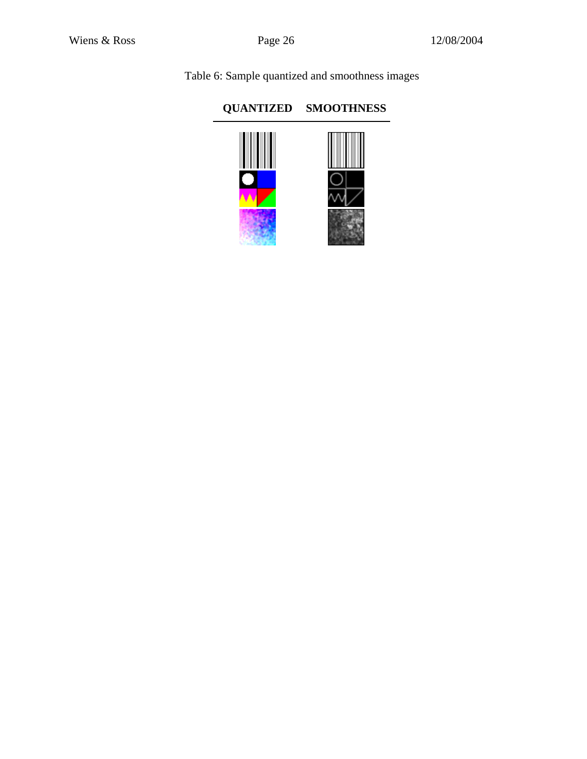Table 6: Sample quantized and smoothness images

**QUANTIZED SMOOTHNESS**

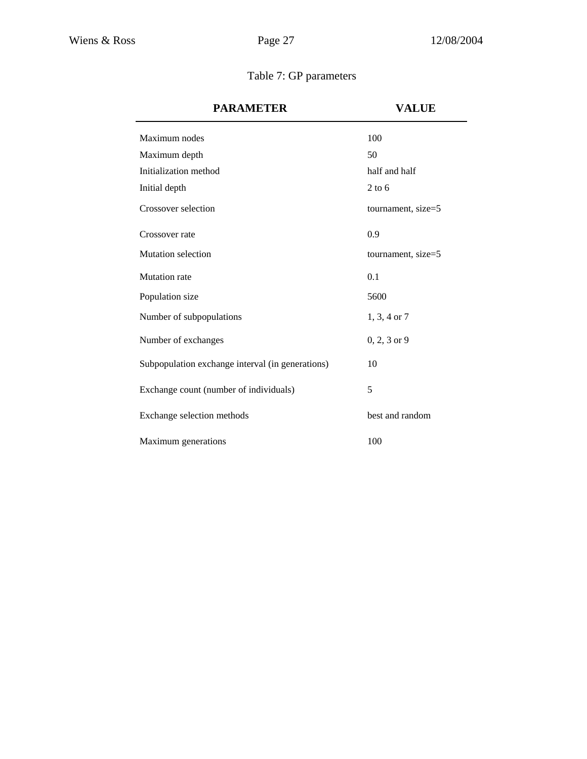# Table 7: GP parameters

| <b>PARAMETER</b>                                 | <b>VALUE</b>       |  |
|--------------------------------------------------|--------------------|--|
| Maximum nodes                                    | 100                |  |
| Maximum depth                                    | 50                 |  |
| Initialization method                            | half and half      |  |
| Initial depth                                    | $2$ to 6           |  |
| Crossover selection                              | tournament, size=5 |  |
| Crossover rate                                   | 0.9                |  |
| <b>Mutation selection</b>                        | tournament, size=5 |  |
| <b>Mutation</b> rate                             | 0.1                |  |
| Population size                                  | 5600               |  |
| Number of subpopulations                         | $1, 3, 4$ or $7$   |  |
| Number of exchanges                              | $0, 2, 3$ or 9     |  |
| Subpopulation exchange interval (in generations) | 10                 |  |
| Exchange count (number of individuals)           | 5                  |  |
| Exchange selection methods                       | best and random    |  |
| Maximum generations                              | 100                |  |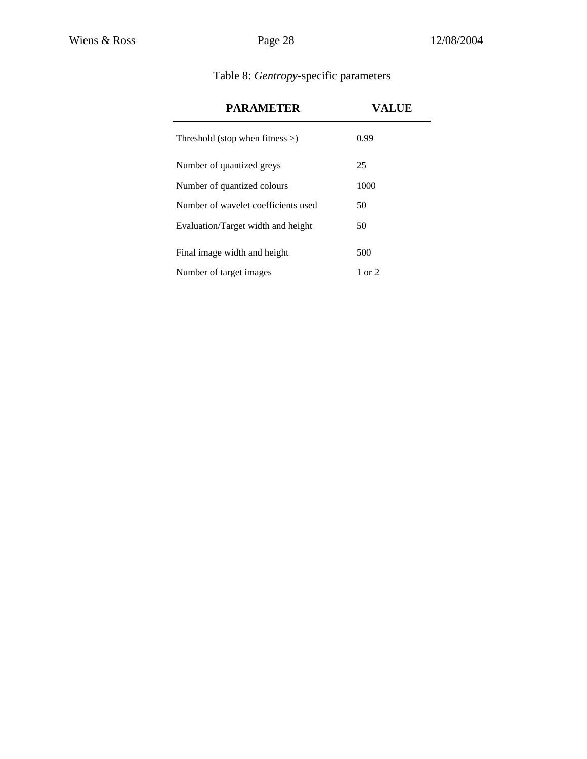# Table 8: *Gentropy*-specific parameters

| <b>PARAMETER</b>                    | <b>VALUE</b> |
|-------------------------------------|--------------|
| Threshold (stop when fitness $>$ )  | 0.99         |
| Number of quantized greys           | 25           |
| Number of quantized colours         | 1000         |
| Number of wavelet coefficients used | 50           |
| Evaluation/Target width and height  | 50           |
| Final image width and height        | 500          |
| Number of target images             | 1 or 2       |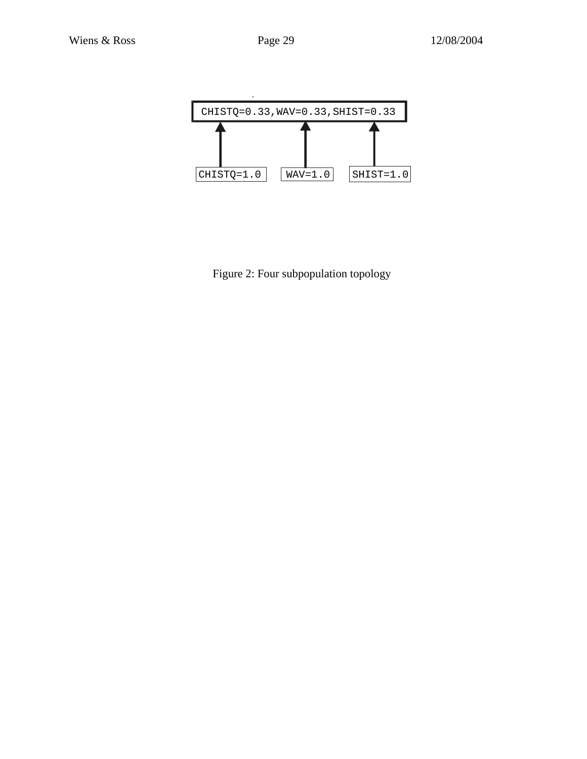

Figure 2: Four subpopulation topology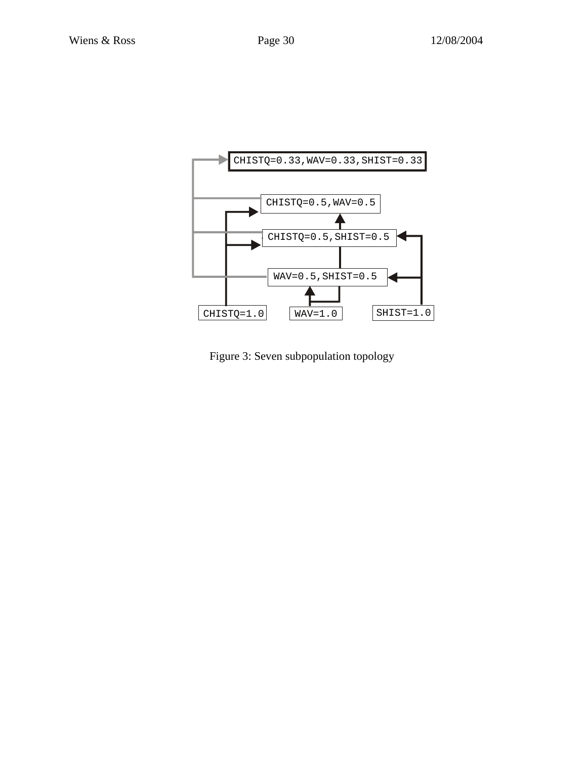

Figure 3: Seven subpopulation topology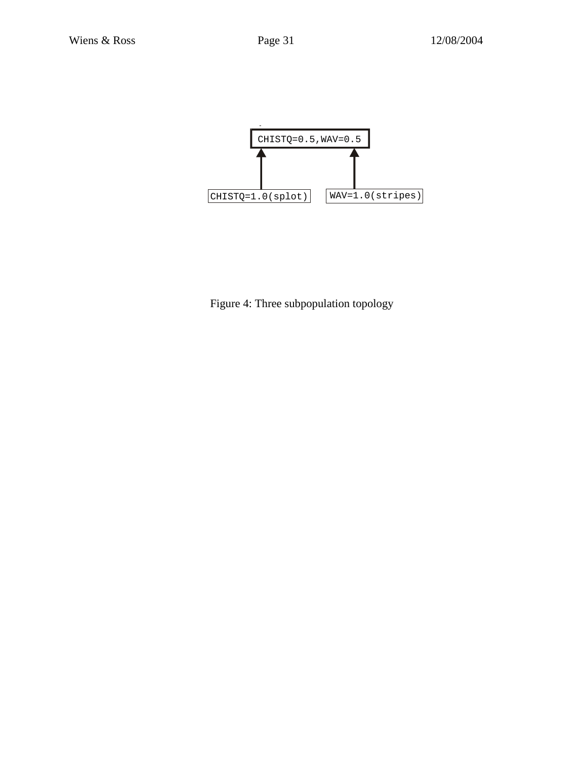

Figure 4: Three subpopulation topology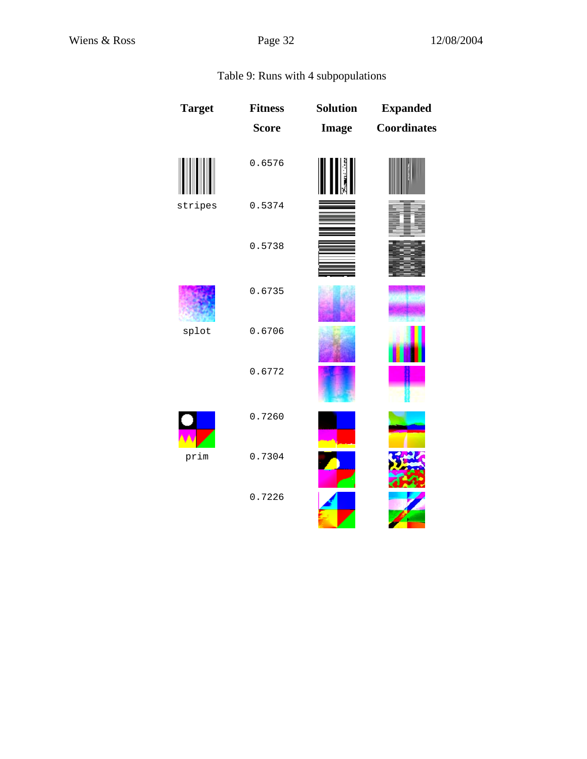|  |  | Table 9: Runs with 4 subpopulations |
|--|--|-------------------------------------|
|--|--|-------------------------------------|

| <b>Target</b> | <b>Fitness</b> | <b>Solution</b> | <b>Expanded</b>    |
|---------------|----------------|-----------------|--------------------|
|               | <b>Score</b>   | <b>Image</b>    | <b>Coordinates</b> |
|               | 0.6576         |                 |                    |
| stripes       | 0.5374         |                 |                    |
|               | 0.5738         |                 |                    |
|               | 0.6735         |                 |                    |
| splot         | 0.6706         |                 |                    |
|               | 0.6772         |                 |                    |
|               | 0.7260         |                 |                    |
| prim          | 0.7304         |                 |                    |
|               | 0.7226         |                 |                    |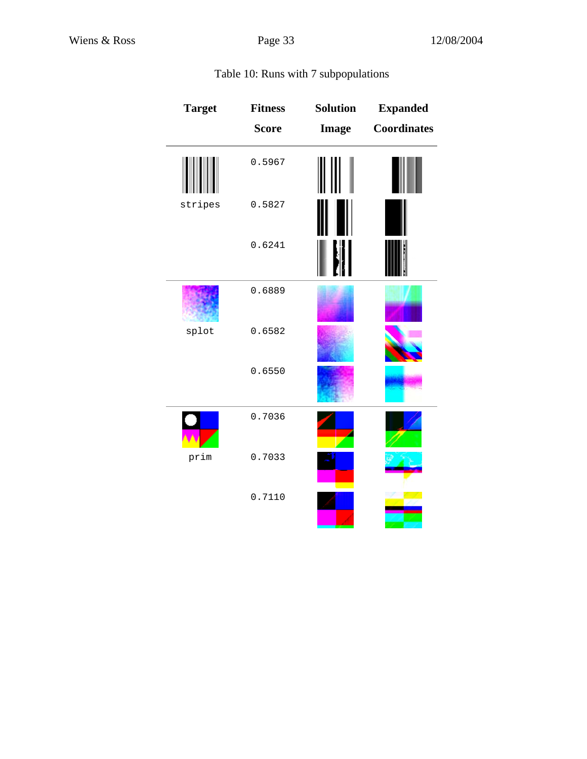| <b>Target</b> | <b>Fitness</b><br><b>Score</b> | <b>Solution</b><br><b>Image</b> | <b>Expanded</b><br><b>Coordinates</b> |
|---------------|--------------------------------|---------------------------------|---------------------------------------|
|               | 0.5967                         |                                 |                                       |
| stripes       | 0.5827                         |                                 |                                       |
|               | 0.6241                         |                                 |                                       |
|               | 0.6889                         |                                 |                                       |
| splot         | 0.6582                         |                                 |                                       |
|               | 0.6550                         |                                 |                                       |
|               | 0.7036                         |                                 |                                       |
| prim          | 0.7033                         |                                 |                                       |
|               | 0.7110                         |                                 |                                       |

# Table 10: Runs with 7 subpopulations